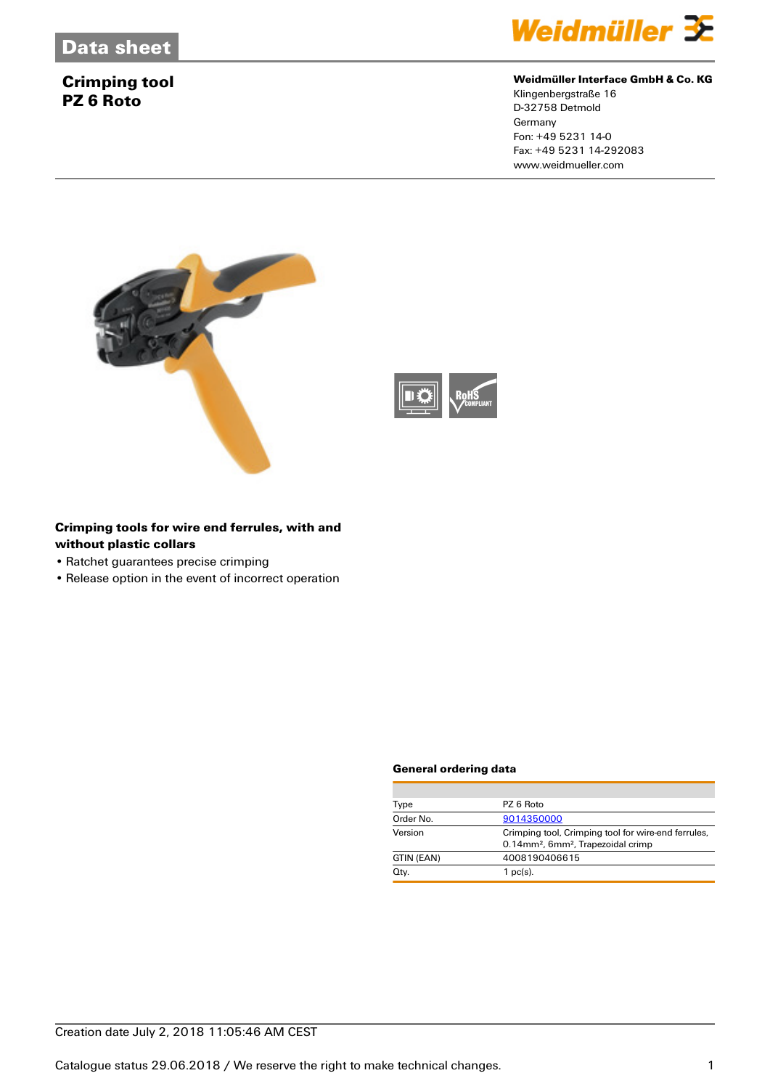### **Crimping tool PZ 6 Roto**



#### **Weidmüller Interface GmbH & Co. KG**

Klingenbergstraße 16 D-32758 Detmold **Germany** Fon: +49 5231 14-0 Fax: +49 5231 14-292083 www.weidmueller.com





### **Crimping tools for wire end ferrules, with and without plastic collars**

- Ratchet guarantees precise crimping
- Release option in the event of incorrect operation

#### **General ordering data**

| Type       | PZ 6 Roto                                                                                                         |  |  |
|------------|-------------------------------------------------------------------------------------------------------------------|--|--|
| Order No.  | 9014350000                                                                                                        |  |  |
| Version    | Crimping tool, Crimping tool for wire-end ferrules,<br>0.14mm <sup>2</sup> , 6mm <sup>2</sup> , Trapezoidal crimp |  |  |
| GTIN (EAN) | 4008190406615                                                                                                     |  |  |
| Qty.       | $1$ pc(s).                                                                                                        |  |  |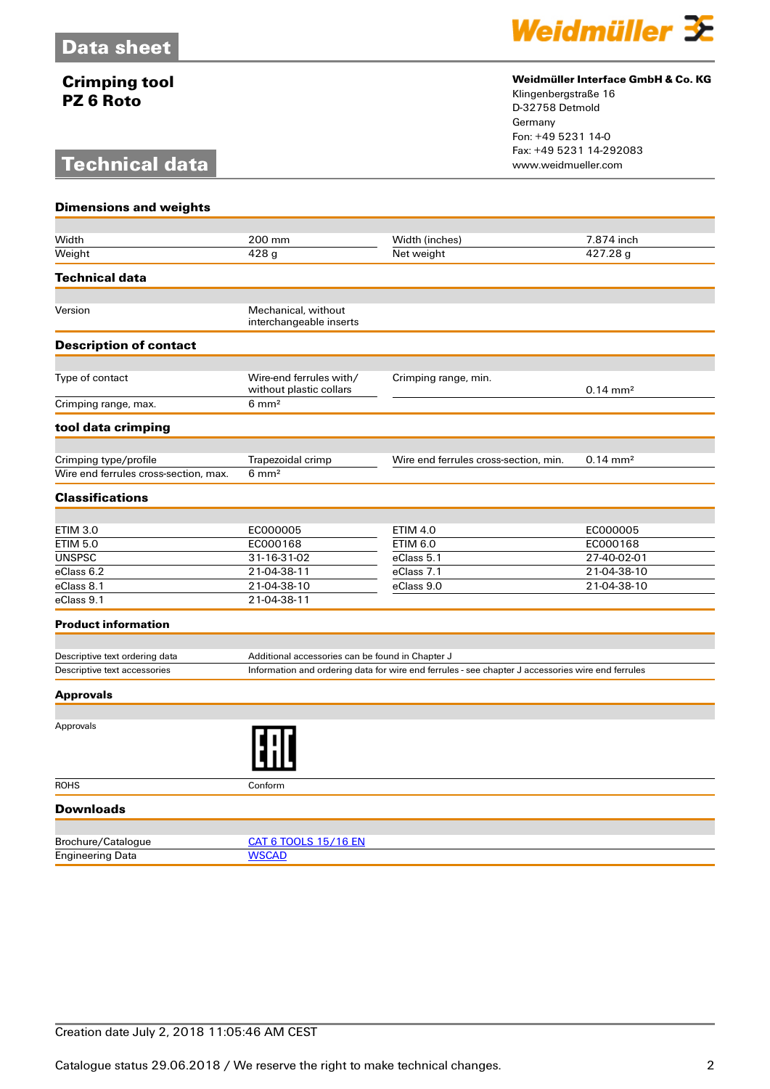## **Crimping tool PZ 6 Roto**

## **Technical data**



### **Weidmüller Interface GmbH & Co. KG**

Klingenbergstraße 16 D-32758 Detmold Germany Fon: +49 5231 14-0 Fax: +49 5231 14-292083

| <b>Dimensions and weights</b>                                  |                                                                                                   |                                       |                       |  |
|----------------------------------------------------------------|---------------------------------------------------------------------------------------------------|---------------------------------------|-----------------------|--|
|                                                                |                                                                                                   |                                       |                       |  |
| Width                                                          | 200 mm                                                                                            | Width (inches)                        | 7.874 inch            |  |
| Weight                                                         | $\overline{428}$ g                                                                                | Net weight                            | 427.28 g              |  |
| <b>Technical data</b>                                          |                                                                                                   |                                       |                       |  |
| Version                                                        | Mechanical, without                                                                               |                                       |                       |  |
|                                                                | interchangeable inserts                                                                           |                                       |                       |  |
| <b>Description of contact</b>                                  |                                                                                                   |                                       |                       |  |
|                                                                |                                                                                                   |                                       |                       |  |
| Type of contact                                                | Wire-end ferrules with/<br>without plastic collars                                                | Crimping range, min.                  | $0.14 \, \text{mm}^2$ |  |
| Crimping range, max.                                           | $6 \text{ mm}^2$                                                                                  |                                       |                       |  |
| tool data crimping                                             |                                                                                                   |                                       |                       |  |
|                                                                |                                                                                                   |                                       |                       |  |
| Crimping type/profile<br>Wire end ferrules cross-section, max. | Trapezoidal crimp<br>$6 \text{ mm}^2$                                                             | Wire end ferrules cross-section, min. | $0.14 \, \text{mm}^2$ |  |
|                                                                |                                                                                                   |                                       |                       |  |
| <b>Classifications</b>                                         |                                                                                                   |                                       |                       |  |
| <b>ETIM 3.0</b>                                                | EC000005                                                                                          | <b>ETIM 4.0</b>                       | EC000005              |  |
| <b>ETIM 5.0</b>                                                | EC000168                                                                                          | <b>ETIM 6.0</b>                       | EC000168              |  |
| <b>UNSPSC</b>                                                  | 31-16-31-02                                                                                       | eClass 5.1                            | 27-40-02-01           |  |
| eClass 6.2                                                     | 21-04-38-11                                                                                       | eClass 7.1                            | 21-04-38-10           |  |
| eClass 8.1                                                     | 21-04-38-10                                                                                       | eClass 9.0                            | 21-04-38-10           |  |
| eClass 9.1                                                     | 21-04-38-11                                                                                       |                                       |                       |  |
| <b>Product information</b>                                     |                                                                                                   |                                       |                       |  |
|                                                                |                                                                                                   |                                       |                       |  |
| Descriptive text ordering data                                 | Additional accessories can be found in Chapter J                                                  |                                       |                       |  |
| Descriptive text accessories                                   | Information and ordering data for wire end ferrules - see chapter J accessories wire end ferrules |                                       |                       |  |
| <b>Approvals</b>                                               |                                                                                                   |                                       |                       |  |
|                                                                |                                                                                                   |                                       |                       |  |
| Approvals                                                      |                                                                                                   |                                       |                       |  |
| <b>ROHS</b>                                                    | Conform                                                                                           |                                       |                       |  |
| <b>Downloads</b>                                               |                                                                                                   |                                       |                       |  |
|                                                                |                                                                                                   |                                       |                       |  |
| Brochure/Catalogue<br><b>Engineering Data</b>                  | <b>CAT 6 TOOLS 15/16 EN</b><br><b>WSCAD</b>                                                       |                                       |                       |  |
|                                                                |                                                                                                   |                                       |                       |  |